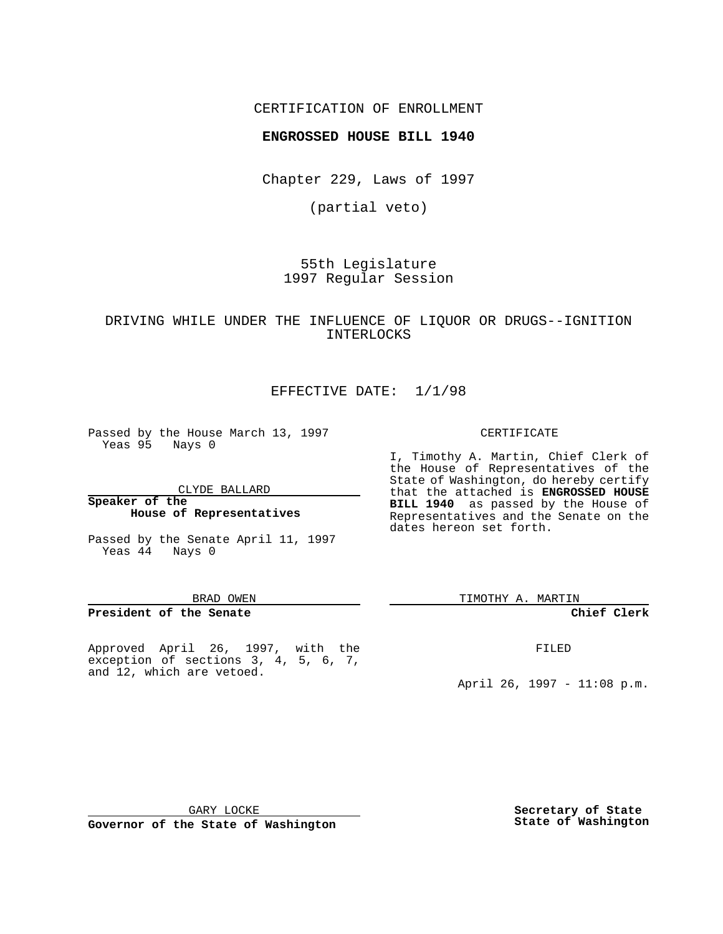## CERTIFICATION OF ENROLLMENT

## **ENGROSSED HOUSE BILL 1940**

Chapter 229, Laws of 1997

(partial veto)

55th Legislature 1997 Regular Session

## DRIVING WHILE UNDER THE INFLUENCE OF LIQUOR OR DRUGS--IGNITION INTERLOCKS

## EFFECTIVE DATE: 1/1/98

Passed by the House March 13, 1997 Yeas 95 Nays 0

CLYDE BALLARD

### **Speaker of the House of Representatives**

Passed by the Senate April 11, 1997 Yeas 44 Nays 0

#### BRAD OWEN

### **President of the Senate**

Approved April 26, 1997, with the exception of sections 3, 4, 5, 6, 7, and 12, which are vetoed.

#### CERTIFICATE

I, Timothy A. Martin, Chief Clerk of the House of Representatives of the State of Washington, do hereby certify that the attached is **ENGROSSED HOUSE BILL 1940** as passed by the House of Representatives and the Senate on the dates hereon set forth.

TIMOTHY A. MARTIN

### **Chief Clerk**

FILED

April 26, 1997 - 11:08 p.m.

GARY LOCKE

**Governor of the State of Washington**

**Secretary of State State of Washington**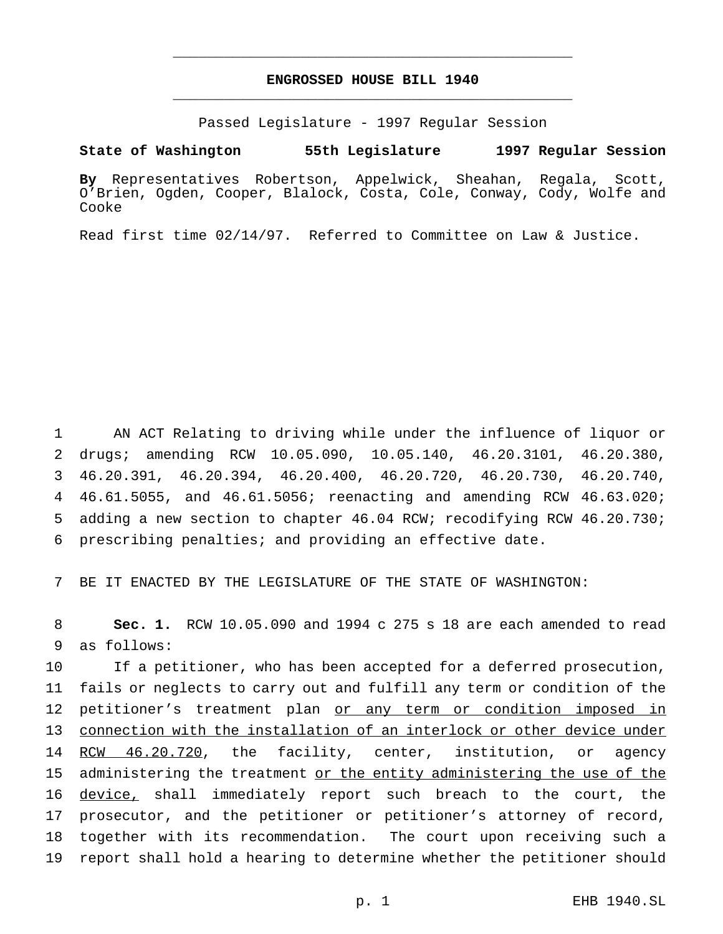# **ENGROSSED HOUSE BILL 1940** \_\_\_\_\_\_\_\_\_\_\_\_\_\_\_\_\_\_\_\_\_\_\_\_\_\_\_\_\_\_\_\_\_\_\_\_\_\_\_\_\_\_\_\_\_\_\_

\_\_\_\_\_\_\_\_\_\_\_\_\_\_\_\_\_\_\_\_\_\_\_\_\_\_\_\_\_\_\_\_\_\_\_\_\_\_\_\_\_\_\_\_\_\_\_

Passed Legislature - 1997 Regular Session

**State of Washington 55th Legislature 1997 Regular Session**

**By** Representatives Robertson, Appelwick, Sheahan, Regala, Scott, O'Brien, Ogden, Cooper, Blalock, Costa, Cole, Conway, Cody, Wolfe and Cooke

Read first time 02/14/97. Referred to Committee on Law & Justice.

 AN ACT Relating to driving while under the influence of liquor or drugs; amending RCW 10.05.090, 10.05.140, 46.20.3101, 46.20.380, 46.20.391, 46.20.394, 46.20.400, 46.20.720, 46.20.730, 46.20.740, 46.61.5055, and 46.61.5056; reenacting and amending RCW 46.63.020; adding a new section to chapter 46.04 RCW; recodifying RCW 46.20.730; prescribing penalties; and providing an effective date.

7 BE IT ENACTED BY THE LEGISLATURE OF THE STATE OF WASHINGTON:

8 **Sec. 1.** RCW 10.05.090 and 1994 c 275 s 18 are each amended to read 9 as follows:

10 If a petitioner, who has been accepted for a deferred prosecution, 11 fails or neglects to carry out and fulfill any term or condition of the 12 petitioner's treatment plan or any term or condition imposed in 13 connection with the installation of an interlock or other device under 14 RCW 46.20.720, the facility, center, institution, or agency 15 administering the treatment or the entity administering the use of the 16 device, shall immediately report such breach to the court, the 17 prosecutor, and the petitioner or petitioner's attorney of record, 18 together with its recommendation. The court upon receiving such a 19 report shall hold a hearing to determine whether the petitioner should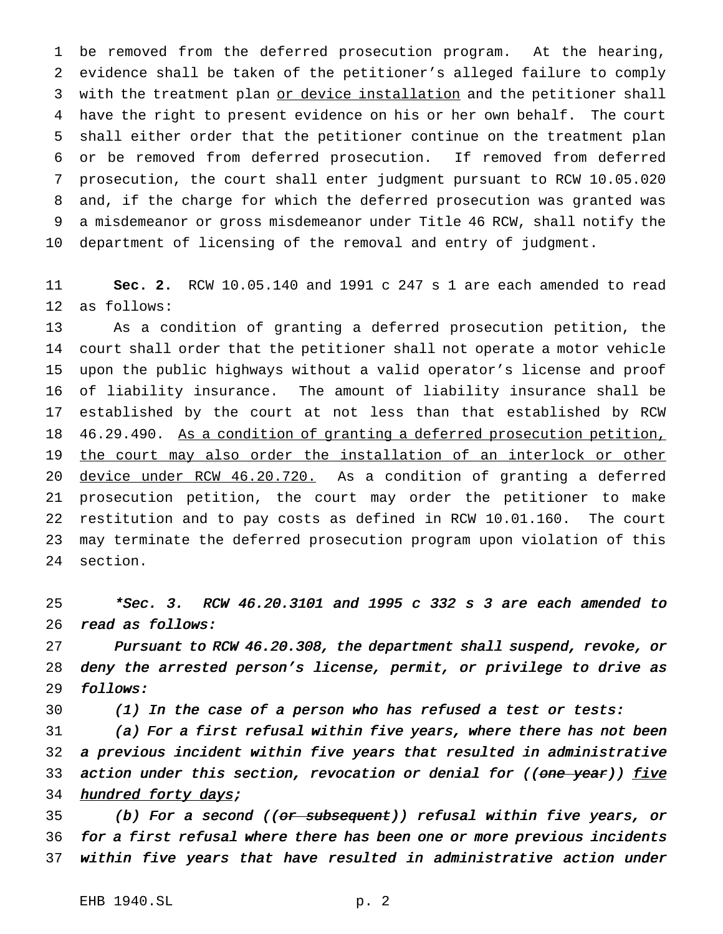be removed from the deferred prosecution program. At the hearing, evidence shall be taken of the petitioner's alleged failure to comply 3 with the treatment plan or device installation and the petitioner shall have the right to present evidence on his or her own behalf. The court shall either order that the petitioner continue on the treatment plan or be removed from deferred prosecution. If removed from deferred prosecution, the court shall enter judgment pursuant to RCW 10.05.020 and, if the charge for which the deferred prosecution was granted was a misdemeanor or gross misdemeanor under Title 46 RCW, shall notify the department of licensing of the removal and entry of judgment.

 **Sec. 2.** RCW 10.05.140 and 1991 c 247 s 1 are each amended to read as follows:

 As a condition of granting a deferred prosecution petition, the court shall order that the petitioner shall not operate a motor vehicle upon the public highways without a valid operator's license and proof of liability insurance. The amount of liability insurance shall be established by the court at not less than that established by RCW 46.29.490. As a condition of granting a deferred prosecution petition, the court may also order the installation of an interlock or other 20 device under RCW 46.20.720. As a condition of granting a deferred prosecution petition, the court may order the petitioner to make restitution and to pay costs as defined in RCW 10.01.160. The court may terminate the deferred prosecution program upon violation of this section.

 \*Sec. 3. RCW 46.20.3101 and <sup>1995</sup> <sup>c</sup> <sup>332</sup> <sup>s</sup> <sup>3</sup> are each amended to read as follows:

 Pursuant to RCW 46.20.308, the department shall suspend, revoke, or deny the arrested person's license, permit, or privilege to drive as follows:

(1) In the case of <sup>a</sup> person who has refused <sup>a</sup> test or tests:

 (a) For <sup>a</sup> first refusal within five years, where there has not been <sup>a</sup> previous incident within five years that resulted in administrative 33 action under this section, revocation or denial for ((one year)) five 34 hundred forty days;

35 (b) For a second ((or subsequent)) refusal within five years, or for <sup>a</sup> first refusal where there has been one or more previous incidents within five years that have resulted in administrative action under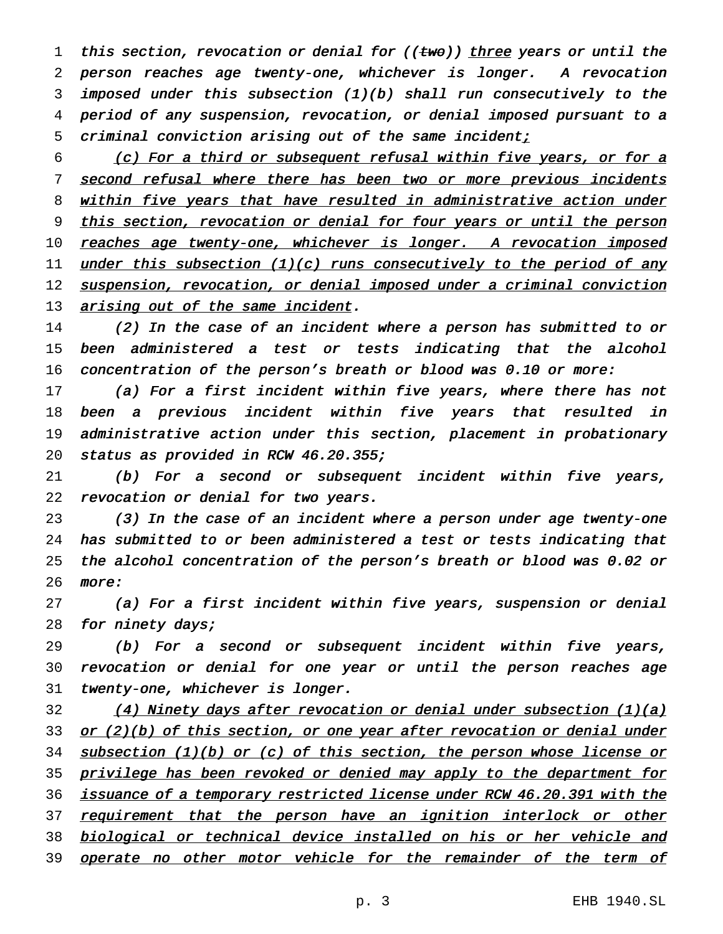1 this section, revocation or denial for (( $t$ wo)) three years or until the 2 person reaches age twenty-one, whichever is longer. <sup>A</sup> revocation 3 imposed under this subsection (1)(b) shall run consecutively to the 4 period of any suspension, revocation, or denial imposed pursuant to <sup>a</sup> 5 criminal conviction arising out of the same incident;

6 (c) For <sup>a</sup> third or subsequent refusal within five years, or for <sup>a</sup> 7 second refusal where there has been two or more previous incidents 8 within five years that have resulted in administrative action under 9 this section, revocation or denial for four years or until the person 10 reaches age twenty-one, whichever is longer. A revocation imposed 11 under this subsection  $(1)(c)$  runs consecutively to the period of any 12 suspension, revocation, or denial imposed under a criminal conviction 13 arising out of the same incident.

14 (2) In the case of an incident where <sup>a</sup> person has submitted to or 15 been administered <sup>a</sup> test or tests indicating that the alcohol 16 concentration of the person's breath or blood was 0.10 or more:

17 (a) For a first incident within five years, where there has not 18 been <sup>a</sup> previous incident within five years that resulted in 19 administrative action under this section, placement in probationary 20 status as provided in RCW 46.20.355;

21 (b) For <sup>a</sup> second or subsequent incident within five years, 22 revocation or denial for two years.

 (3) In the case of an incident where <sup>a</sup> person under age twenty-one has submitted to or been administered <sup>a</sup> test or tests indicating that the alcohol concentration of the person's breath or blood was 0.02 or 26 more:

27 (a) For <sup>a</sup> first incident within five years, suspension or denial 28 for ninety days;

29 (b) For <sup>a</sup> second or subsequent incident within five years, 30 revocation or denial for one year or until the person reaches age 31 twenty-one, whichever is longer.

32 (4) Ninety days after revocation or denial under subsection (1)(a) 33 or (2)(b) of this section, or one year after revocation or denial under 34 subsection (1)(b) or (c) of this section, the person whose license or 35 privilege has been revoked or denied may apply to the department for 36 issuance of a temporary restricted license under RCW 46.20.391 with the 37 requirement that the person have an ignition interlock or other 38 biological or technical device installed on his or her vehicle and 39 operate no other motor vehicle for the remainder of the term of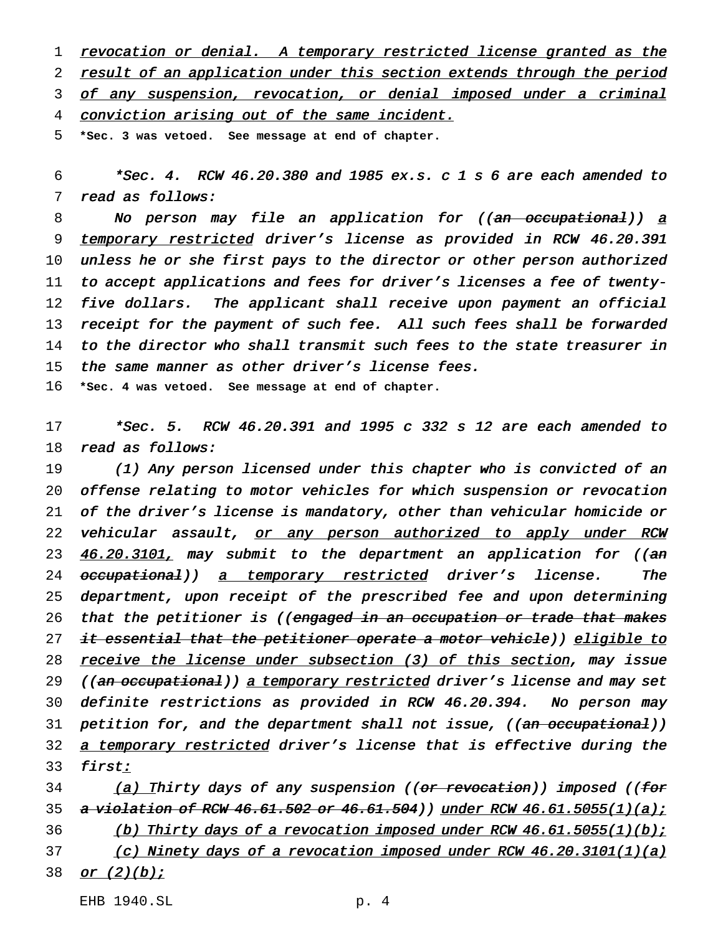1 revocation or denial. A temporary restricted license granted as the 2 result of an application under this section extends through the period 3 of any suspension, revocation, or denial imposed under a criminal 4 conviction arising out of the same incident.

5 **\*Sec. 3 was vetoed. See message at end of chapter.**

 $6$  \*Sec. 4. RCW 46.20.380 and 1985 ex.s. c 1 s 6 are each amended to 7 read as follows:

8 No person may file an application for ((<del>an occupational</del>)) a 9 temporary restricted driver's license as provided in RCW 46.20.391 10 unless he or she first pays to the director or other person authorized 11 to accept applications and fees for driver's licenses <sup>a</sup> fee of twenty-12 five dollars. The applicant shall receive upon payment an official 13 receipt for the payment of such fee. All such fees shall be forwarded 14 to the director who shall transmit such fees to the state treasurer in 15 the same manner as other driver's license fees.

16 **\*Sec. 4 was vetoed. See message at end of chapter.**

17 \*Sec. 5. RCW 46.20.391 and <sup>1995</sup> <sup>c</sup> <sup>332</sup> <sup>s</sup> <sup>12</sup> are each amended to 18 read as follows:

19 (1) Any person licensed under this chapter who is convicted of an 20 offense relating to motor vehicles for which suspension or revocation 21 of the driver's license is mandatory, other than vehicular homicide or 22 vehicular assault, or any person authorized to apply under RCW 23 46.20.3101, may submit to the department an application for ((an 24 <del>occupational</del>)) <u>a temporary restricted</u> driver's license. The 25 department, upon receipt of the prescribed fee and upon determining 26 that the petitioner is ((engaged in an occupation or trade that makes 27 <del>it essential that the petitioner operate a motor vehicle</del>)) <u>eligible to</u> 28 receive the license under subsection (3) of this section, may issue 29 ((an occupational)) a temporary restricted driver's license and may set 30 definite restrictions as provided in RCW 46.20.394. No person may 31 petition for, and the department shall not issue, ((<del>an occupational</del>)) 32 a temporary restricted driver's license that is effective during the 33 first:

34 (a) Thirty days of any suspension ((<del>or revocation</del>)) imposed ((<del>for</del> 35 a violation of RCW 46.61.502 or 46.61.504)) under RCW 46.61.5055(1)(a); 36 (b) Thirty days of a revocation imposed under RCW 46.61.5055(1)(b); 37 (c) Ninety days of a revocation imposed under RCW  $46.20.3101(1)(a)$ 38 <u>or (2)(b);</u>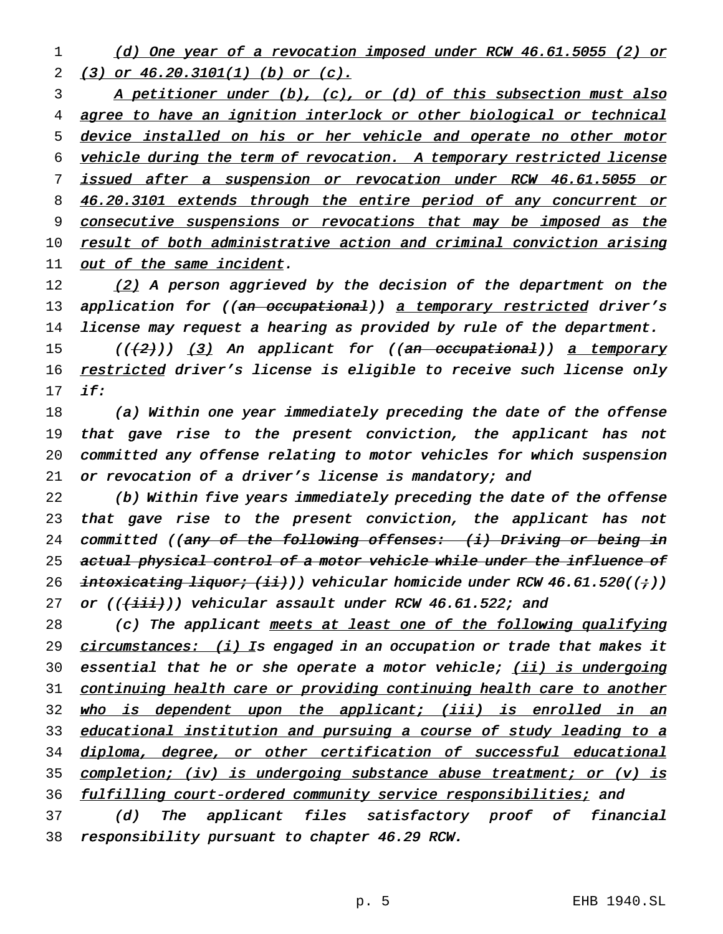1 (d) One year of <sup>a</sup> revocation imposed under RCW 46.61.5055 (2) or 2 (3) or 46.20.3101(1) (b) or (c).

3 A petitioner under (b), (c), or (d) of this subsection must also 4 agree to have an ignition interlock or other biological or technical 5 device installed on his or her vehicle and operate no other motor 6 vehicle during the term of revocation. <sup>A</sup> temporary restricted license 7 issued after <sup>a</sup> suspension or revocation under RCW 46.61.5055 or 8 46.20.3101 extends through the entire period of any concurrent or 9 consecutive suspensions or revocations that may be imposed as the 10 result of both administrative action and criminal conviction arising 11 out of the same incident.

12  $(2)$  A person aggrieved by the decision of the department on the 13 application for ((an occupational)) a temporary restricted driver's 14 license may request <sup>a</sup> hearing as provided by rule of the department.

15 (((2))) (3) An applicant for ((an occupational)) a temporary 16 restricted driver's license is eligible to receive such license only 17 if:

 (a) Within one year immediately preceding the date of the offense that gave rise to the present conviction, the applicant has not committed any offense relating to motor vehicles for which suspension 21 or revocation of a driver's license is mandatory; and

22 (b) Within five years immediately preceding the date of the offense 23 that gave rise to the present conviction, the applicant has not 24 committed ((any of the following offenses: (i) Driving or being in 25 actual physical control of a motor vehicle while under the influence of 26 intoxicating liquor;  $(ii)$ ) vehicular homicide under RCW 46.61.520((;)) 27 or  $((\{\text{iii}\})$  vehicular assault under RCW 46.61.522; and

28 (c) The applicant meets at least one of the following qualifying 29 circumstances: (i) Is engaged in an occupation or trade that makes it 30 essential that he or she operate a motor vehicle; (ii) is undergoing 31 continuing health care or providing continuing health care to another 32 who is dependent upon the applicant; (iii) is enrolled in an 33 educational institution and pursuing a course of study leading to a 34 diploma, degree, or other certification of successful educational 35 completion; (iv) is undergoing substance abuse treatment; or (v) is 36 fulfilling court-ordered community service responsibilities; and

37 (d) The applicant files satisfactory proof of financial 38 responsibility pursuant to chapter 46.29 RCW.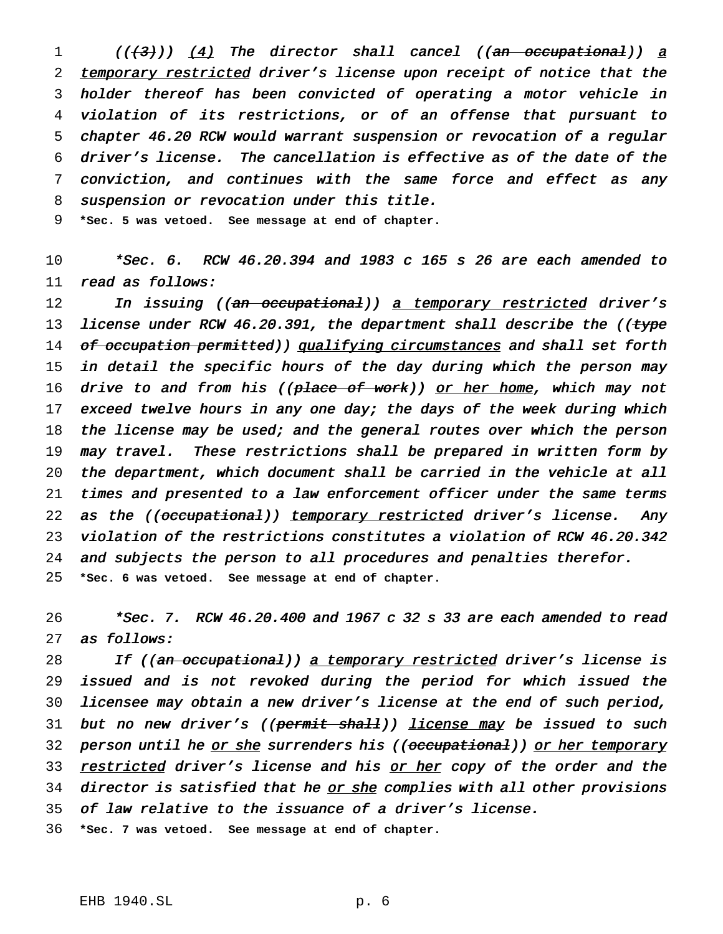1 (((3))) (4) The director shall cancel ((an occupational)) a 2 temporary restricted driver's license upon receipt of notice that the holder thereof has been convicted of operating <sup>a</sup> motor vehicle in violation of its restrictions, or of an offense that pursuant to chapter 46.20 RCW would warrant suspension or revocation of <sup>a</sup> regular driver's license. The cancellation is effective as of the date of the conviction, and continues with the same force and effect as any suspension or revocation under this title.

9 **\*Sec. 5 was vetoed. See message at end of chapter.**

10 \*Sec. 6. RCW 46.20.394 and <sup>1983</sup> <sup>c</sup> <sup>165</sup> <sup>s</sup> <sup>26</sup> are each amended to 11 read as follows:

12 In issuing ((<del>an occupational</del>)) <u>a temporary restricted</u> driver's 13 license under RCW 46.20.391, the department shall describe the ((type 14 of occupation permitted)) qualifying circumstances and shall set forth 15 in detail the specific hours of the day during which the person may 16 drive to and from his ((place of work)) or her home, which may not 17 exceed twelve hours in any one day; the days of the week during which 18 the license may be used; and the general routes over which the person 19 may travel. These restrictions shall be prepared in written form by 20 the department, which document shall be carried in the vehicle at all 21 times and presented to <sup>a</sup> law enforcement officer under the same terms 22 as the ((occupational)) temporary restricted driver's license. Any 23 violation of the restrictions constitutes <sup>a</sup> violation of RCW 46.20.342 24 and subjects the person to all procedures and penalties therefor. 25 **\*Sec. 6 was vetoed. See message at end of chapter.**

26 \*Sec. 7. RCW 46.20.400 and <sup>1967</sup> <sup>c</sup> <sup>32</sup> <sup>s</sup> <sup>33</sup> are each amended to read 27 as follows:

28 If ((an occupational)) a temporary restricted driver's license is 29 issued and is not revoked during the period for which issued the 30 licensee may obtain <sup>a</sup> new driver's license at the end of such period, 31 but no new driver's ((permit shall)) license may be issued to such 32 person until he or she surrenders his ((occupational)) or her temporary 33 restricted driver's license and his or her copy of the order and the 34 director is satisfied that he or she complies with all other provisions 35 of law relative to the issuance of <sup>a</sup> driver's license.

36 **\*Sec. 7 was vetoed. See message at end of chapter.**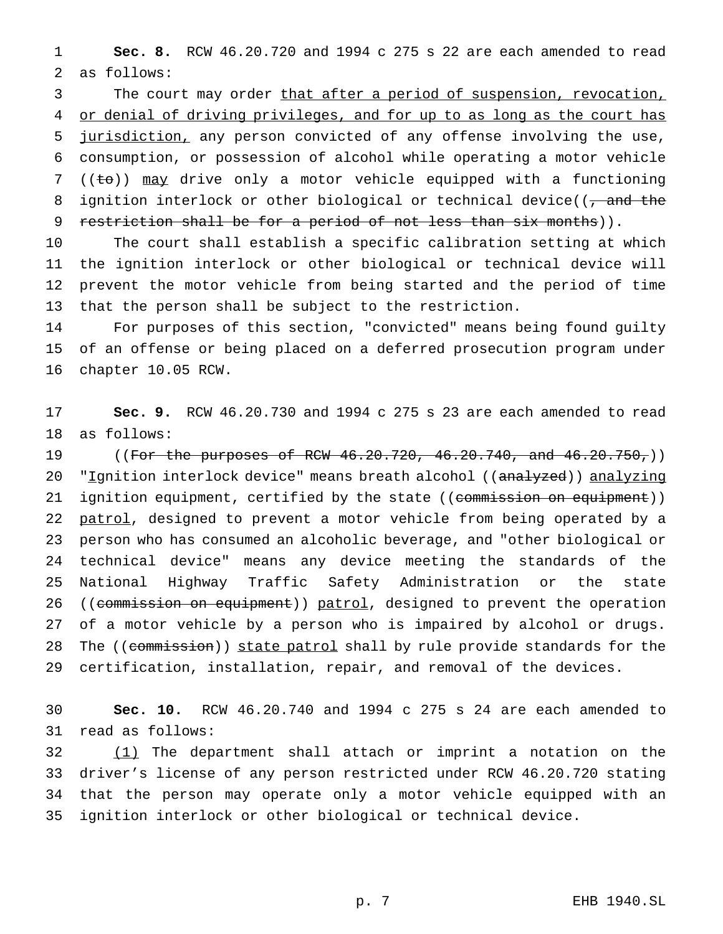**Sec. 8.** RCW 46.20.720 and 1994 c 275 s 22 are each amended to read as follows:

3 The court may order that after a period of suspension, revocation, 4 or denial of driving privileges, and for up to as long as the court has 5 jurisdiction, any person convicted of any offense involving the use, consumption, or possession of alcohol while operating a motor vehicle 7 (( $\pm$ o)) may drive only a motor vehicle equipped with a functioning 8 ignition interlock or other biological or technical device( $\overline{(-\text{and the}}$ 9 restriction shall be for a period of not less than six months)).

 The court shall establish a specific calibration setting at which the ignition interlock or other biological or technical device will prevent the motor vehicle from being started and the period of time that the person shall be subject to the restriction.

 For purposes of this section, "convicted" means being found guilty of an offense or being placed on a deferred prosecution program under chapter 10.05 RCW.

 **Sec. 9.** RCW 46.20.730 and 1994 c 275 s 23 are each amended to read as follows:

19 ((For the purposes of RCW 46.20.720, 46.20.740, and 46.20.750,)) 20 "Ignition interlock device" means breath alcohol ((analyzed)) analyzing 21 ignition equipment, certified by the state ((commission on equipment)) 22 patrol, designed to prevent a motor vehicle from being operated by a person who has consumed an alcoholic beverage, and "other biological or technical device" means any device meeting the standards of the National Highway Traffic Safety Administration or the state 26 ((commission on equipment)) patrol, designed to prevent the operation of a motor vehicle by a person who is impaired by alcohol or drugs. 28 The ((commission)) state patrol shall by rule provide standards for the certification, installation, repair, and removal of the devices.

 **Sec. 10.** RCW 46.20.740 and 1994 c 275 s 24 are each amended to read as follows:

32 (1) The department shall attach or imprint a notation on the driver's license of any person restricted under RCW 46.20.720 stating that the person may operate only a motor vehicle equipped with an ignition interlock or other biological or technical device.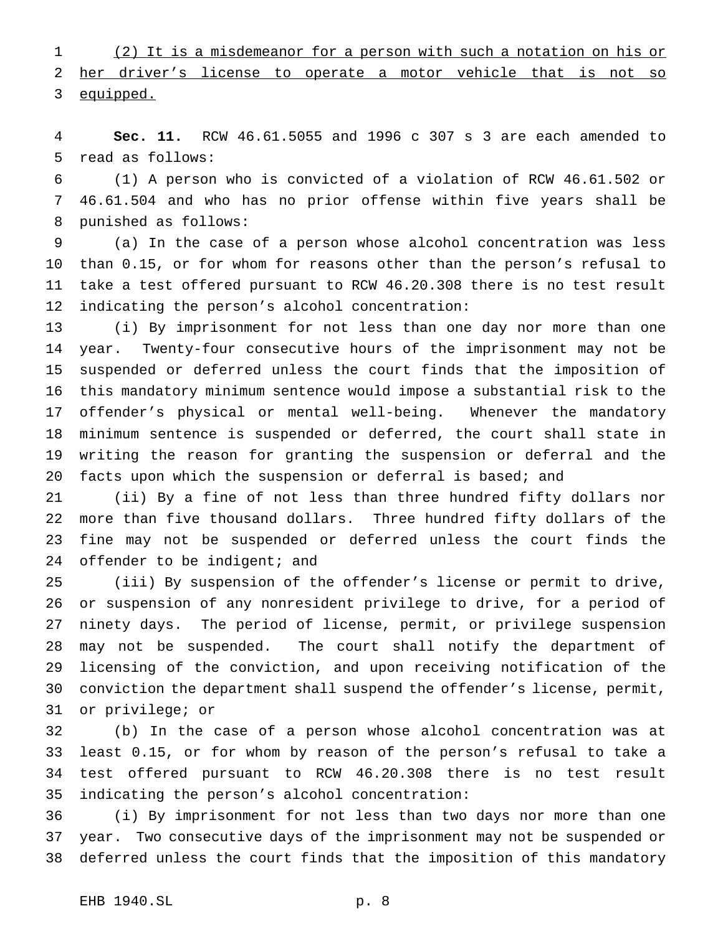(2) It is a misdemeanor for a person with such a notation on his or her driver's license to operate a motor vehicle that is not so 3 equipped.

 **Sec. 11.** RCW 46.61.5055 and 1996 c 307 s 3 are each amended to read as follows:

 (1) A person who is convicted of a violation of RCW 46.61.502 or 46.61.504 and who has no prior offense within five years shall be punished as follows:

 (a) In the case of a person whose alcohol concentration was less than 0.15, or for whom for reasons other than the person's refusal to take a test offered pursuant to RCW 46.20.308 there is no test result indicating the person's alcohol concentration:

 (i) By imprisonment for not less than one day nor more than one year. Twenty-four consecutive hours of the imprisonment may not be suspended or deferred unless the court finds that the imposition of this mandatory minimum sentence would impose a substantial risk to the offender's physical or mental well-being. Whenever the mandatory minimum sentence is suspended or deferred, the court shall state in writing the reason for granting the suspension or deferral and the facts upon which the suspension or deferral is based; and

 (ii) By a fine of not less than three hundred fifty dollars nor more than five thousand dollars. Three hundred fifty dollars of the fine may not be suspended or deferred unless the court finds the 24 offender to be indigent; and

 (iii) By suspension of the offender's license or permit to drive, or suspension of any nonresident privilege to drive, for a period of ninety days. The period of license, permit, or privilege suspension may not be suspended. The court shall notify the department of licensing of the conviction, and upon receiving notification of the conviction the department shall suspend the offender's license, permit, or privilege; or

 (b) In the case of a person whose alcohol concentration was at least 0.15, or for whom by reason of the person's refusal to take a test offered pursuant to RCW 46.20.308 there is no test result indicating the person's alcohol concentration:

 (i) By imprisonment for not less than two days nor more than one year. Two consecutive days of the imprisonment may not be suspended or deferred unless the court finds that the imposition of this mandatory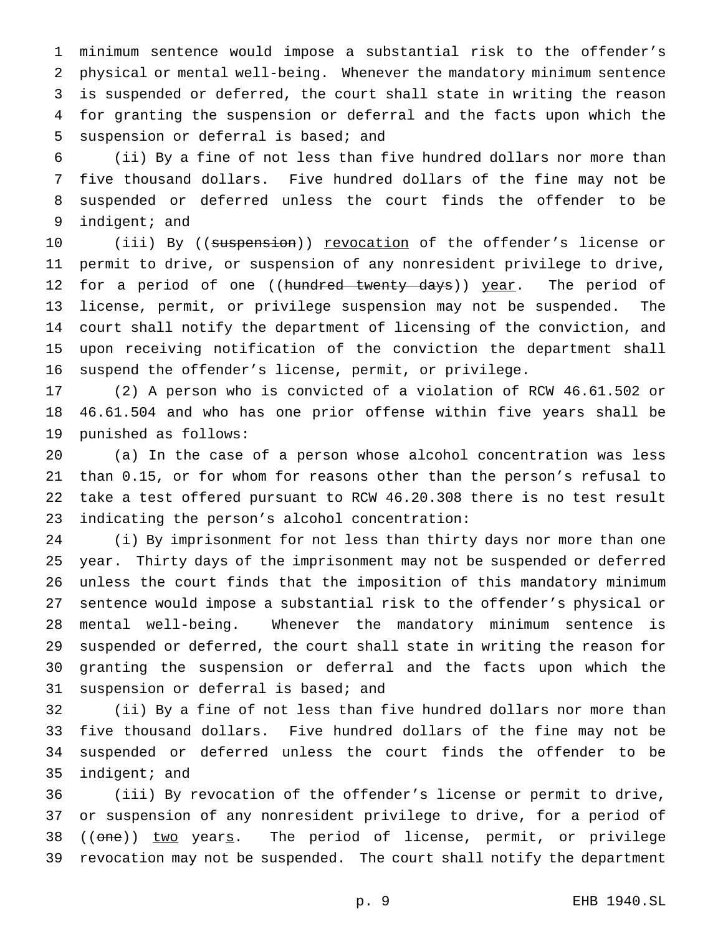minimum sentence would impose a substantial risk to the offender's physical or mental well-being. Whenever the mandatory minimum sentence is suspended or deferred, the court shall state in writing the reason for granting the suspension or deferral and the facts upon which the suspension or deferral is based; and

 (ii) By a fine of not less than five hundred dollars nor more than five thousand dollars. Five hundred dollars of the fine may not be suspended or deferred unless the court finds the offender to be indigent; and

10 (iii) By ((suspension)) revocation of the offender's license or permit to drive, or suspension of any nonresident privilege to drive, 12 for a period of one ((hundred twenty days)) year. The period of license, permit, or privilege suspension may not be suspended. The court shall notify the department of licensing of the conviction, and upon receiving notification of the conviction the department shall suspend the offender's license, permit, or privilege.

 (2) A person who is convicted of a violation of RCW 46.61.502 or 46.61.504 and who has one prior offense within five years shall be punished as follows:

 (a) In the case of a person whose alcohol concentration was less than 0.15, or for whom for reasons other than the person's refusal to take a test offered pursuant to RCW 46.20.308 there is no test result indicating the person's alcohol concentration:

 (i) By imprisonment for not less than thirty days nor more than one year. Thirty days of the imprisonment may not be suspended or deferred unless the court finds that the imposition of this mandatory minimum sentence would impose a substantial risk to the offender's physical or mental well-being. Whenever the mandatory minimum sentence is suspended or deferred, the court shall state in writing the reason for granting the suspension or deferral and the facts upon which the suspension or deferral is based; and

 (ii) By a fine of not less than five hundred dollars nor more than five thousand dollars. Five hundred dollars of the fine may not be suspended or deferred unless the court finds the offender to be indigent; and

 (iii) By revocation of the offender's license or permit to drive, or suspension of any nonresident privilege to drive, for a period of 38 ((one)) two years. The period of license, permit, or privilege revocation may not be suspended. The court shall notify the department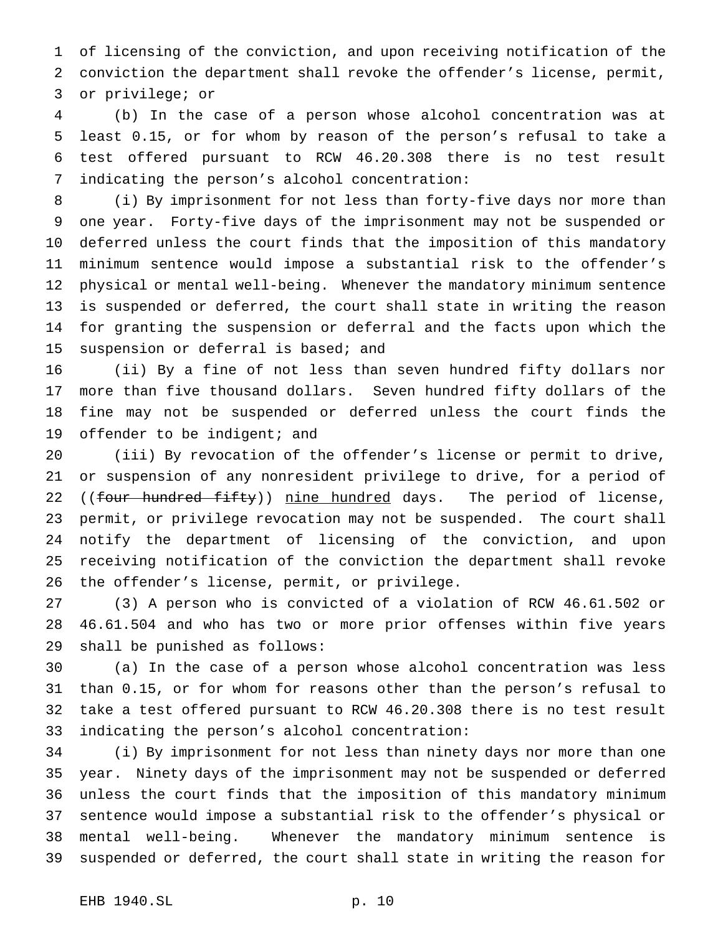of licensing of the conviction, and upon receiving notification of the conviction the department shall revoke the offender's license, permit, or privilege; or

 (b) In the case of a person whose alcohol concentration was at least 0.15, or for whom by reason of the person's refusal to take a test offered pursuant to RCW 46.20.308 there is no test result indicating the person's alcohol concentration:

 (i) By imprisonment for not less than forty-five days nor more than one year. Forty-five days of the imprisonment may not be suspended or deferred unless the court finds that the imposition of this mandatory minimum sentence would impose a substantial risk to the offender's physical or mental well-being. Whenever the mandatory minimum sentence is suspended or deferred, the court shall state in writing the reason for granting the suspension or deferral and the facts upon which the suspension or deferral is based; and

 (ii) By a fine of not less than seven hundred fifty dollars nor more than five thousand dollars. Seven hundred fifty dollars of the fine may not be suspended or deferred unless the court finds the 19 offender to be indigent; and

 (iii) By revocation of the offender's license or permit to drive, or suspension of any nonresident privilege to drive, for a period of 22 ((four hundred fifty)) nine hundred days. The period of license, permit, or privilege revocation may not be suspended. The court shall notify the department of licensing of the conviction, and upon receiving notification of the conviction the department shall revoke the offender's license, permit, or privilege.

 (3) A person who is convicted of a violation of RCW 46.61.502 or 46.61.504 and who has two or more prior offenses within five years shall be punished as follows:

 (a) In the case of a person whose alcohol concentration was less than 0.15, or for whom for reasons other than the person's refusal to take a test offered pursuant to RCW 46.20.308 there is no test result indicating the person's alcohol concentration:

 (i) By imprisonment for not less than ninety days nor more than one year. Ninety days of the imprisonment may not be suspended or deferred unless the court finds that the imposition of this mandatory minimum sentence would impose a substantial risk to the offender's physical or mental well-being. Whenever the mandatory minimum sentence is suspended or deferred, the court shall state in writing the reason for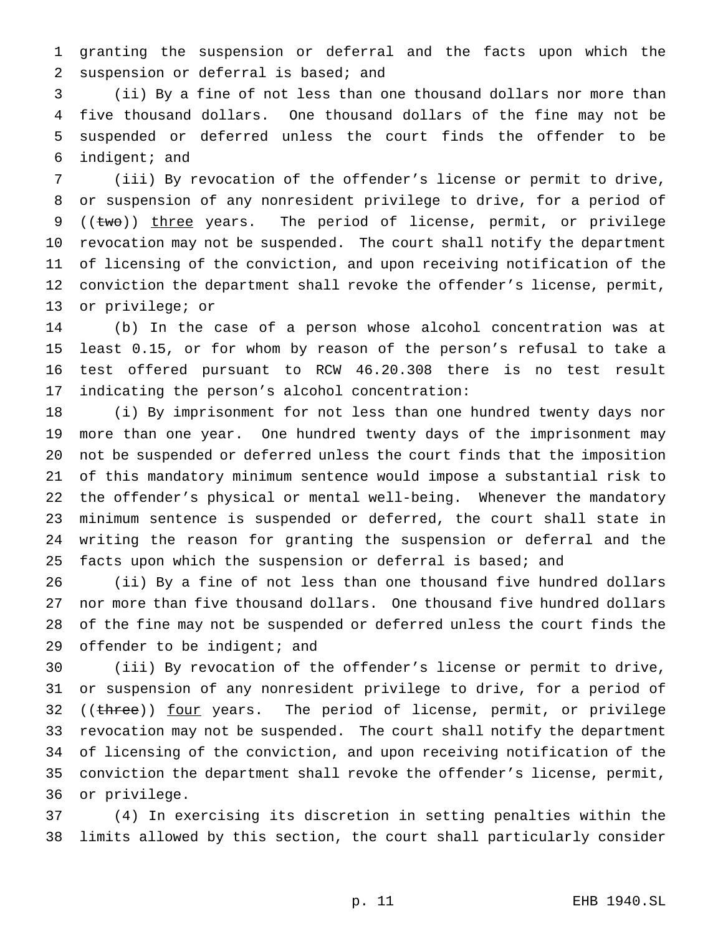granting the suspension or deferral and the facts upon which the suspension or deferral is based; and

 (ii) By a fine of not less than one thousand dollars nor more than five thousand dollars. One thousand dollars of the fine may not be suspended or deferred unless the court finds the offender to be indigent; and

 (iii) By revocation of the offender's license or permit to drive, or suspension of any nonresident privilege to drive, for a period of 9 ((two)) three years. The period of license, permit, or privilege revocation may not be suspended. The court shall notify the department of licensing of the conviction, and upon receiving notification of the conviction the department shall revoke the offender's license, permit, or privilege; or

 (b) In the case of a person whose alcohol concentration was at least 0.15, or for whom by reason of the person's refusal to take a test offered pursuant to RCW 46.20.308 there is no test result indicating the person's alcohol concentration:

 (i) By imprisonment for not less than one hundred twenty days nor more than one year. One hundred twenty days of the imprisonment may not be suspended or deferred unless the court finds that the imposition of this mandatory minimum sentence would impose a substantial risk to the offender's physical or mental well-being. Whenever the mandatory minimum sentence is suspended or deferred, the court shall state in writing the reason for granting the suspension or deferral and the 25 facts upon which the suspension or deferral is based; and

 (ii) By a fine of not less than one thousand five hundred dollars nor more than five thousand dollars. One thousand five hundred dollars of the fine may not be suspended or deferred unless the court finds the 29 offender to be indigent; and

 (iii) By revocation of the offender's license or permit to drive, or suspension of any nonresident privilege to drive, for a period of 32 ((three)) four years. The period of license, permit, or privilege revocation may not be suspended. The court shall notify the department of licensing of the conviction, and upon receiving notification of the conviction the department shall revoke the offender's license, permit, or privilege.

 (4) In exercising its discretion in setting penalties within the limits allowed by this section, the court shall particularly consider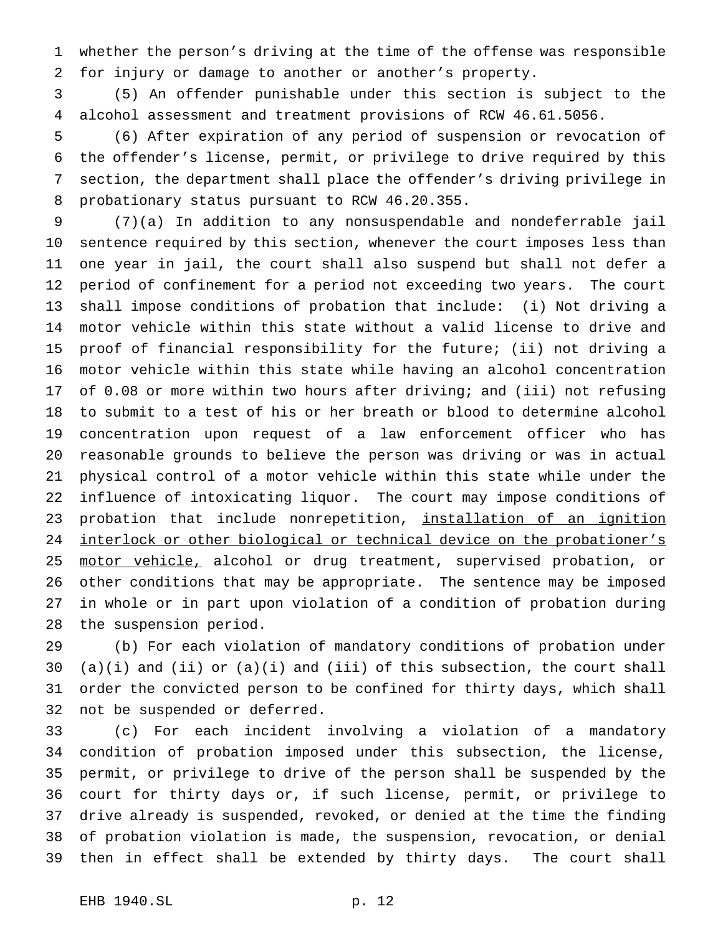whether the person's driving at the time of the offense was responsible for injury or damage to another or another's property.

 (5) An offender punishable under this section is subject to the alcohol assessment and treatment provisions of RCW 46.61.5056.

 (6) After expiration of any period of suspension or revocation of the offender's license, permit, or privilege to drive required by this section, the department shall place the offender's driving privilege in probationary status pursuant to RCW 46.20.355.

 (7)(a) In addition to any nonsuspendable and nondeferrable jail sentence required by this section, whenever the court imposes less than one year in jail, the court shall also suspend but shall not defer a period of confinement for a period not exceeding two years. The court shall impose conditions of probation that include: (i) Not driving a motor vehicle within this state without a valid license to drive and proof of financial responsibility for the future; (ii) not driving a motor vehicle within this state while having an alcohol concentration of 0.08 or more within two hours after driving; and (iii) not refusing to submit to a test of his or her breath or blood to determine alcohol concentration upon request of a law enforcement officer who has reasonable grounds to believe the person was driving or was in actual physical control of a motor vehicle within this state while under the influence of intoxicating liquor. The court may impose conditions of 23 probation that include nonrepetition, installation of an ignition 24 interlock or other biological or technical device on the probationer's 25 motor vehicle, alcohol or drug treatment, supervised probation, or other conditions that may be appropriate. The sentence may be imposed in whole or in part upon violation of a condition of probation during the suspension period.

 (b) For each violation of mandatory conditions of probation under 30 (a)(i) and (ii) or  $(a)(i)$  and (iii) of this subsection, the court shall order the convicted person to be confined for thirty days, which shall not be suspended or deferred.

 (c) For each incident involving a violation of a mandatory condition of probation imposed under this subsection, the license, permit, or privilege to drive of the person shall be suspended by the court for thirty days or, if such license, permit, or privilege to drive already is suspended, revoked, or denied at the time the finding of probation violation is made, the suspension, revocation, or denial then in effect shall be extended by thirty days. The court shall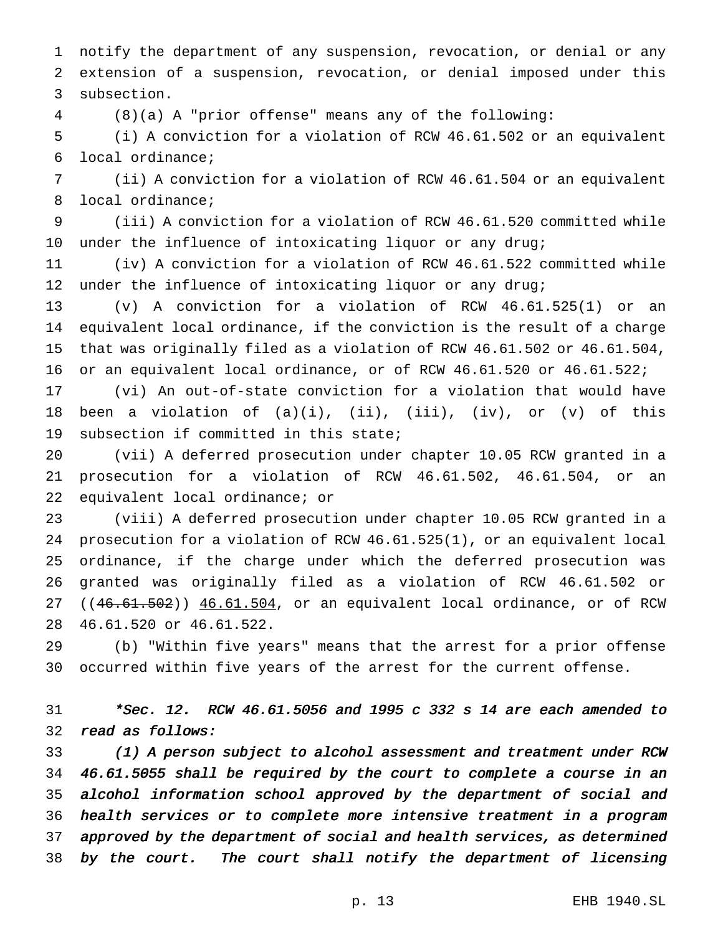notify the department of any suspension, revocation, or denial or any extension of a suspension, revocation, or denial imposed under this subsection.

(8)(a) A "prior offense" means any of the following:

 (i) A conviction for a violation of RCW 46.61.502 or an equivalent local ordinance;

 (ii) A conviction for a violation of RCW 46.61.504 or an equivalent local ordinance;

 (iii) A conviction for a violation of RCW 46.61.520 committed while under the influence of intoxicating liquor or any drug;

 (iv) A conviction for a violation of RCW 46.61.522 committed while under the influence of intoxicating liquor or any drug;

 (v) A conviction for a violation of RCW 46.61.525(1) or an equivalent local ordinance, if the conviction is the result of a charge that was originally filed as a violation of RCW 46.61.502 or 46.61.504, or an equivalent local ordinance, or of RCW 46.61.520 or 46.61.522;

 (vi) An out-of-state conviction for a violation that would have 18 been a violation of  $(a)(i)$ ,  $(ii)$ ,  $(iii)$ ,  $(iv)$ , or  $(v)$  of this subsection if committed in this state;

 (vii) A deferred prosecution under chapter 10.05 RCW granted in a prosecution for a violation of RCW 46.61.502, 46.61.504, or an equivalent local ordinance; or

 (viii) A deferred prosecution under chapter 10.05 RCW granted in a prosecution for a violation of RCW 46.61.525(1), or an equivalent local ordinance, if the charge under which the deferred prosecution was granted was originally filed as a violation of RCW 46.61.502 or 27 ((46.61.502)) 46.61.504, or an equivalent local ordinance, or of RCW 46.61.520 or 46.61.522.

 (b) "Within five years" means that the arrest for a prior offense occurred within five years of the arrest for the current offense.

 \*Sec. 12. RCW 46.61.5056 and <sup>1995</sup> <sup>c</sup> <sup>332</sup> <sup>s</sup> <sup>14</sup> are each amended to read as follows:

 (1) <sup>A</sup> person subject to alcohol assessment and treatment under RCW 46.61.5055 shall be required by the court to complete <sup>a</sup> course in an alcohol information school approved by the department of social and health services or to complete more intensive treatment in <sup>a</sup> program approved by the department of social and health services, as determined by the court. The court shall notify the department of licensing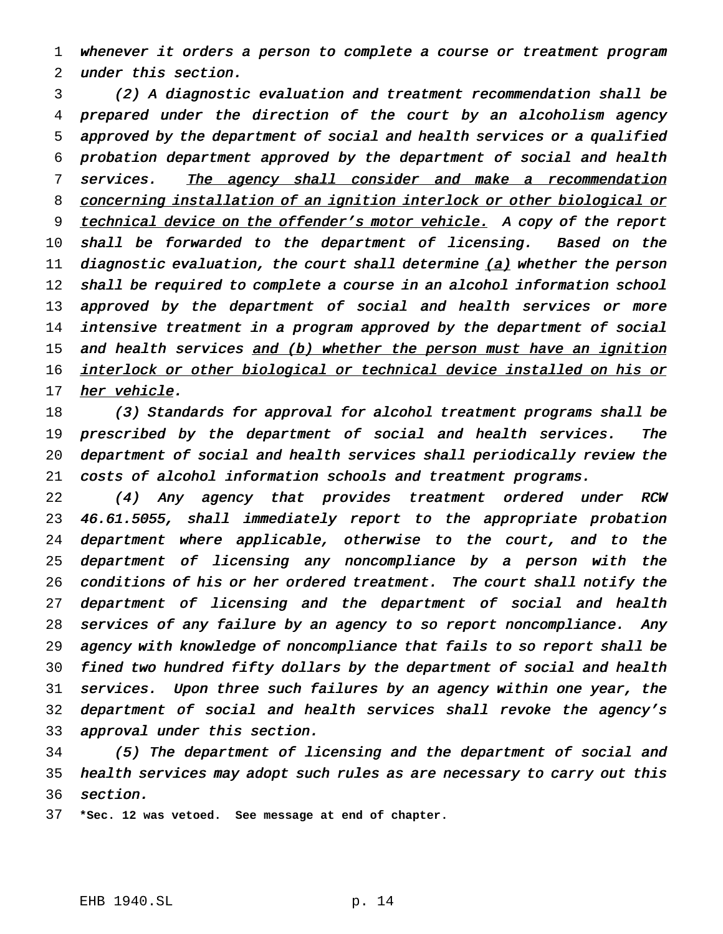whenever it orders <sup>a</sup> person to complete <sup>a</sup> course or treatment program under this section.

 (2) <sup>A</sup> diagnostic evaluation and treatment recommendation shall be prepared under the direction of the court by an alcoholism agency approved by the department of social and health services or <sup>a</sup> qualified probation department approved by the department of social and health 7 services. The agency shall consider and make a recommendation 8 concerning installation of an ignition interlock or other biological or 9 technical device on the offender's motor vehicle. A copy of the report shall be forwarded to the department of licensing. Based on the 11 diagnostic evaluation, the court shall determine  $(a)$  whether the person shall be required to complete <sup>a</sup> course in an alcohol information school 13 approved by the department of social and health services or more intensive treatment in <sup>a</sup> program approved by the department of social 15 and health services and (b) whether the person must have an ignition 16 interlock or other biological or technical device installed on his or 17 her vehicle.

18 (3) Standards for approval for alcohol treatment programs shall be 19 prescribed by the department of social and health services. The department of social and health services shall periodically review the costs of alcohol information schools and treatment programs.

 (4) Any agency that provides treatment ordered under RCW 46.61.5055, shall immediately report to the appropriate probation department where applicable, otherwise to the court, and to the department of licensing any noncompliance by <sup>a</sup> person with the conditions of his or her ordered treatment. The court shall notify the department of licensing and the department of social and health services of any failure by an agency to so report noncompliance. Any agency with knowledge of noncompliance that fails to so report shall be fined two hundred fifty dollars by the department of social and health services. Upon three such failures by an agency within one year, the department of social and health services shall revoke the agency's approval under this section.

 (5) The department of licensing and the department of social and health services may adopt such rules as are necessary to carry out this section.

**\*Sec. 12 was vetoed. See message at end of chapter.**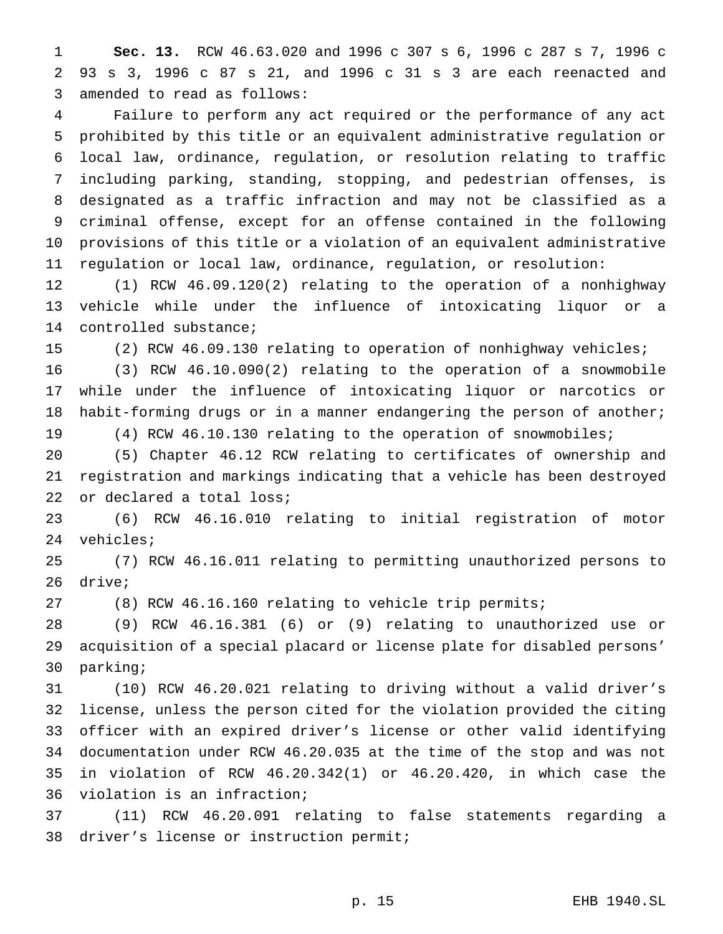**Sec. 13.** RCW 46.63.020 and 1996 c 307 s 6, 1996 c 287 s 7, 1996 c 93 s 3, 1996 c 87 s 21, and 1996 c 31 s 3 are each reenacted and amended to read as follows:

 Failure to perform any act required or the performance of any act prohibited by this title or an equivalent administrative regulation or local law, ordinance, regulation, or resolution relating to traffic including parking, standing, stopping, and pedestrian offenses, is designated as a traffic infraction and may not be classified as a criminal offense, except for an offense contained in the following provisions of this title or a violation of an equivalent administrative regulation or local law, ordinance, regulation, or resolution:

 (1) RCW 46.09.120(2) relating to the operation of a nonhighway vehicle while under the influence of intoxicating liquor or a controlled substance;

(2) RCW 46.09.130 relating to operation of nonhighway vehicles;

 (3) RCW 46.10.090(2) relating to the operation of a snowmobile while under the influence of intoxicating liquor or narcotics or 18 habit-forming drugs or in a manner endangering the person of another; (4) RCW 46.10.130 relating to the operation of snowmobiles;

 (5) Chapter 46.12 RCW relating to certificates of ownership and registration and markings indicating that a vehicle has been destroyed

or declared a total loss;

 (6) RCW 46.16.010 relating to initial registration of motor vehicles;

 (7) RCW 46.16.011 relating to permitting unauthorized persons to drive;

(8) RCW 46.16.160 relating to vehicle trip permits;

 (9) RCW 46.16.381 (6) or (9) relating to unauthorized use or acquisition of a special placard or license plate for disabled persons' parking;

 (10) RCW 46.20.021 relating to driving without a valid driver's license, unless the person cited for the violation provided the citing officer with an expired driver's license or other valid identifying documentation under RCW 46.20.035 at the time of the stop and was not in violation of RCW 46.20.342(1) or 46.20.420, in which case the violation is an infraction;

 (11) RCW 46.20.091 relating to false statements regarding a driver's license or instruction permit;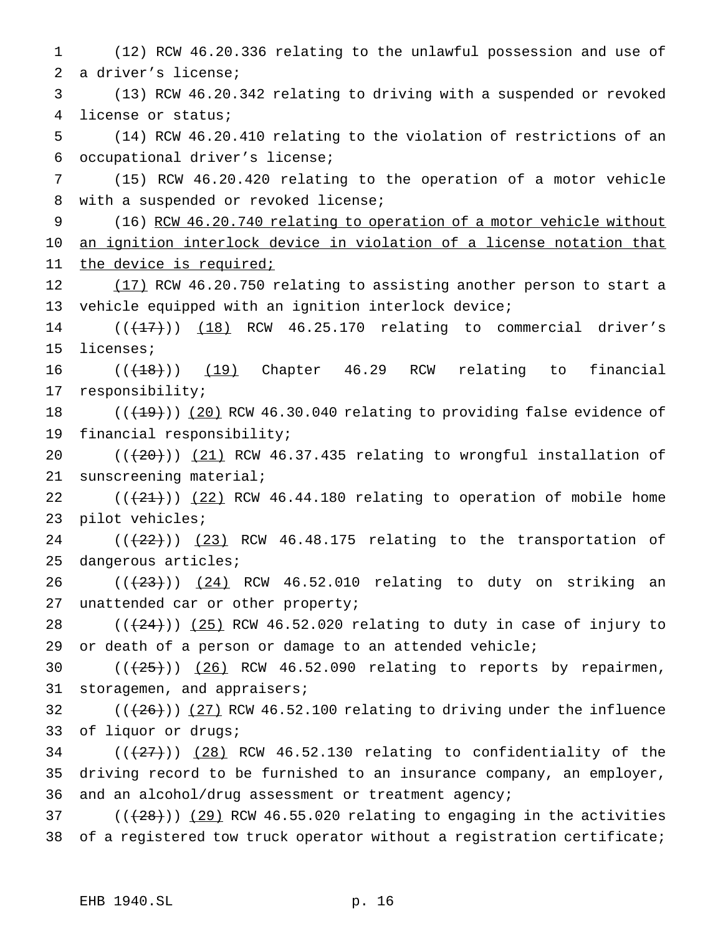(12) RCW 46.20.336 relating to the unlawful possession and use of a driver's license; (13) RCW 46.20.342 relating to driving with a suspended or revoked license or status; (14) RCW 46.20.410 relating to the violation of restrictions of an occupational driver's license; (15) RCW 46.20.420 relating to the operation of a motor vehicle with a suspended or revoked license; (16) RCW 46.20.740 relating to operation of a motor vehicle without an ignition interlock device in violation of a license notation that 11 the device is required; 12 (17) RCW 46.20.750 relating to assisting another person to start a vehicle equipped with an ignition interlock device;  $((+17))$   $(18)$  RCW 46.25.170 relating to commercial driver's licenses;  $((+18))$   $(19)$  Chapter 46.29 RCW relating to financial responsibility;  $((+19))$  (20) RCW 46.30.040 relating to providing false evidence of financial responsibility;  $((+20))$   $(21)$  RCW 46.37.435 relating to wrongful installation of sunscreening material;  $((+21+))$   $(22)$  RCW 46.44.180 relating to operation of mobile home pilot vehicles; ( $(\frac{22}{})$ ) (23) RCW 46.48.175 relating to the transportation of dangerous articles;  $((+23))$   $(24)$  RCW 46.52.010 relating to duty on striking an 27 unattended car or other property;  $((24))$   $(25)$  RCW 46.52.020 relating to duty in case of injury to or death of a person or damage to an attended vehicle;  $((+25))$   $(26)$  RCW 46.52.090 relating to reports by repairmen, 31 storagemen, and appraisers;  $((+26))$   $(27)$  RCW 46.52.100 relating to driving under the influence of liquor or drugs; ( $(\frac{27}{12})$ ) (28) RCW 46.52.130 relating to confidentiality of the driving record to be furnished to an insurance company, an employer, and an alcohol/drug assessment or treatment agency;  $((+28))$   $(29)$  RCW 46.55.020 relating to engaging in the activities of a registered tow truck operator without a registration certificate;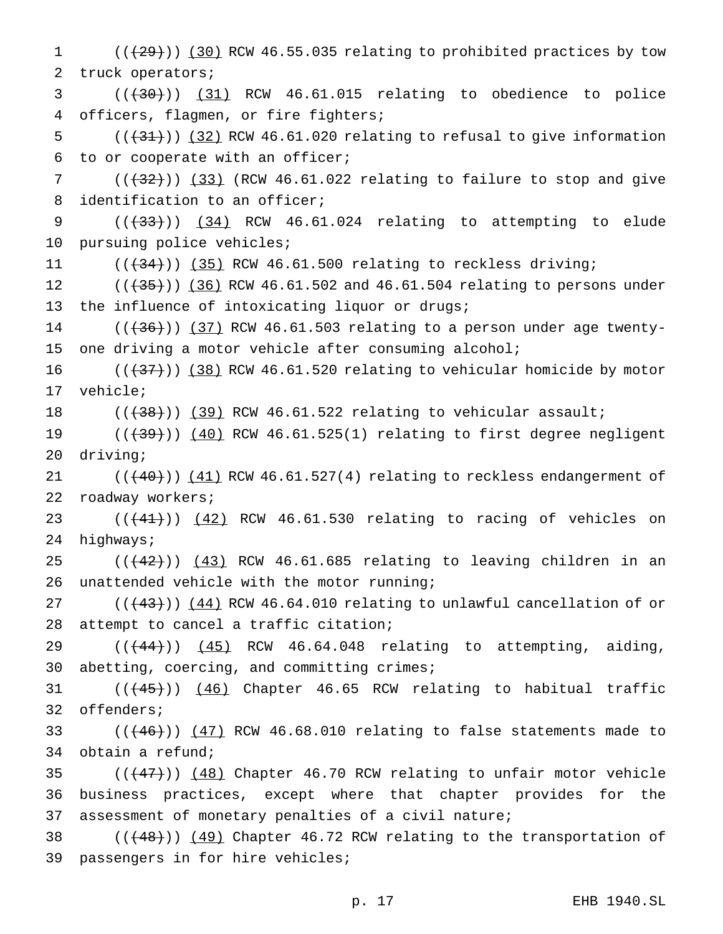1 (( $(29)$ )) (30) RCW 46.55.035 relating to prohibited practices by tow truck operators;

  $((+30))$   $(31)$  RCW 46.61.015 relating to obedience to police officers, flagmen, or fire fighters;

5  $((+31))$  (32) RCW 46.61.020 relating to refusal to give information to or cooperate with an officer;

 ( $(\frac{1}{32})$ ) (33) (RCW 46.61.022 relating to failure to stop and give identification to an officer;

9 (( $(33)$ )) (34) RCW 46.61.024 relating to attempting to elude pursuing police vehicles;

 $((+34))$   $(35)$  RCW 46.61.500 relating to reckless driving;

 $((+35))$   $(36)$  RCW 46.61.502 and 46.61.504 relating to persons under 13 the influence of intoxicating liquor or drugs;

 ( $(\overline{+36})$ )  $(37)$  RCW 46.61.503 relating to a person under age twenty-one driving a motor vehicle after consuming alcohol;

 $((+37))$  (38) RCW 46.61.520 relating to vehicular homicide by motor vehicle;

 $((+38))$   $(39)$  RCW 46.61.522 relating to vehicular assault;

19  $((+39))$   $(40)$  RCW 46.61.525(1) relating to first degree negligent driving;

 $((+40))$   $(41)$  RCW 46.61.527(4) relating to reckless endangerment of roadway workers;

23  $((+41))$   $(42)$  RCW 46.61.530 relating to racing of vehicles on highways;

 ( $(\frac{42}{})$ )  $(43)$  RCW 46.61.685 relating to leaving children in an unattended vehicle with the motor running;

 $((+43))$   $(44)$  RCW 46.64.010 relating to unlawful cancellation of or attempt to cancel a traffic citation;

 $((+44))$   $(45)$  RCW 46.64.048 relating to attempting, aiding, abetting, coercing, and committing crimes;

31 (( $(45)$ )) (46) Chapter 46.65 RCW relating to habitual traffic offenders;

33  $((+46))$   $(47)$  RCW 46.68.010 relating to false statements made to obtain a refund;

35  $((+47))$  (48) Chapter 46.70 RCW relating to unfair motor vehicle business practices, except where that chapter provides for the assessment of monetary penalties of a civil nature;

38  $((+48))$   $(49)$  Chapter 46.72 RCW relating to the transportation of passengers in for hire vehicles;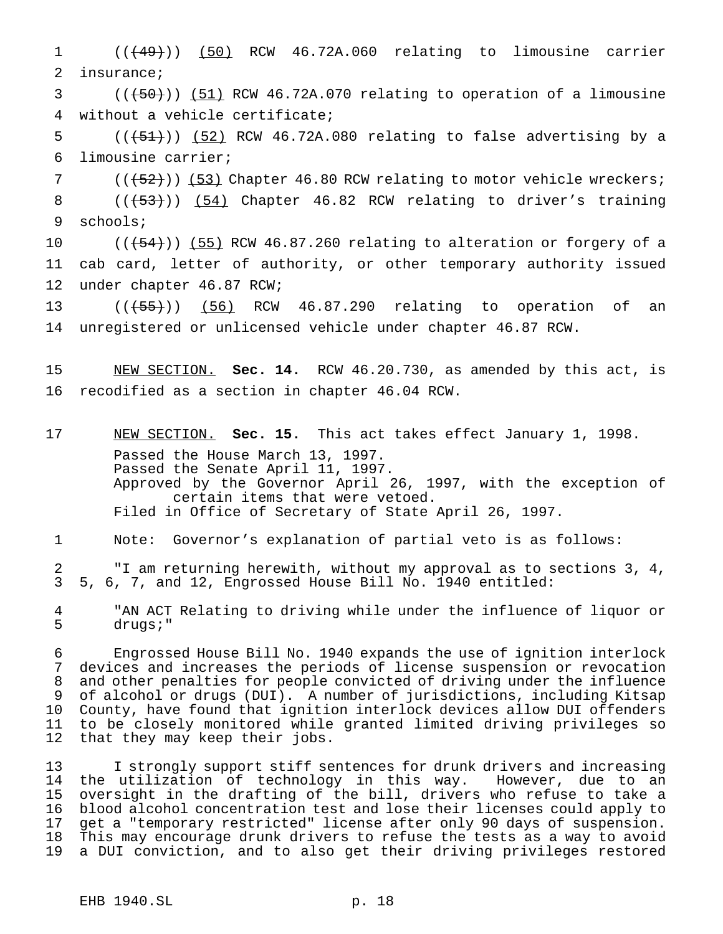1 (( $\left(49\right)$ ) (50) RCW 46.72A.060 relating to limousine carrier insurance;

 ( $(\overline{+50})$ )  $(51)$  RCW 46.72A.070 relating to operation of a limousine without a vehicle certificate;

5  $((+51))$   $(52)$  RCW 46.72A.080 relating to false advertising by a limousine carrier;

7 (( $(52)$ )) (53) Chapter 46.80 RCW relating to motor vehicle wreckers; 8 (( $\left(\frac{53}{1}\right)$ ) (54) Chapter 46.82 RCW relating to driver's training schools;

 $((+54))$  (55) RCW 46.87.260 relating to alteration or forgery of a cab card, letter of authority, or other temporary authority issued under chapter 46.87 RCW;

13 (( $\left($  ( $\left($   $\frac{1}{55}\right)$ ) (56) RCW 46.87.290 relating to operation of an unregistered or unlicensed vehicle under chapter 46.87 RCW.

 NEW SECTION. **Sec. 14.** RCW 46.20.730, as amended by this act, is recodified as a section in chapter 46.04 RCW.

 NEW SECTION. **Sec. 15.** This act takes effect January 1, 1998. Passed the House March 13, 1997. Passed the Senate April 11, 1997. Approved by the Governor April 26, 1997, with the exception of certain items that were vetoed. Filed in Office of Secretary of State April 26, 1997.

Note: Governor's explanation of partial veto is as follows:

 "I am returning herewith, without my approval as to sections 3, 4, 5, 6, 7, and 12, Engrossed House Bill No. 1940 entitled:

 "AN ACT Relating to driving while under the influence of liquor or drugs;"

 Engrossed House Bill No. 1940 expands the use of ignition interlock devices and increases the periods of license suspension or revocation and other penalties for people convicted of driving under the influence of alcohol or drugs (DUI). A number of jurisdictions, including Kitsap County, have found that ignition interlock devices allow DUI offenders to be closely monitored while granted limited driving privileges so that they may keep their jobs.

 I strongly support stiff sentences for drunk drivers and increasing the utilization of technology in this way. However, due to an oversight in the drafting of the bill, drivers who refuse to take a blood alcohol concentration test and lose their licenses could apply to get a "temporary restricted" license after only 90 days of suspension. This may encourage drunk drivers to refuse the tests as a way to avoid a DUI conviction, and to also get their driving privileges restored